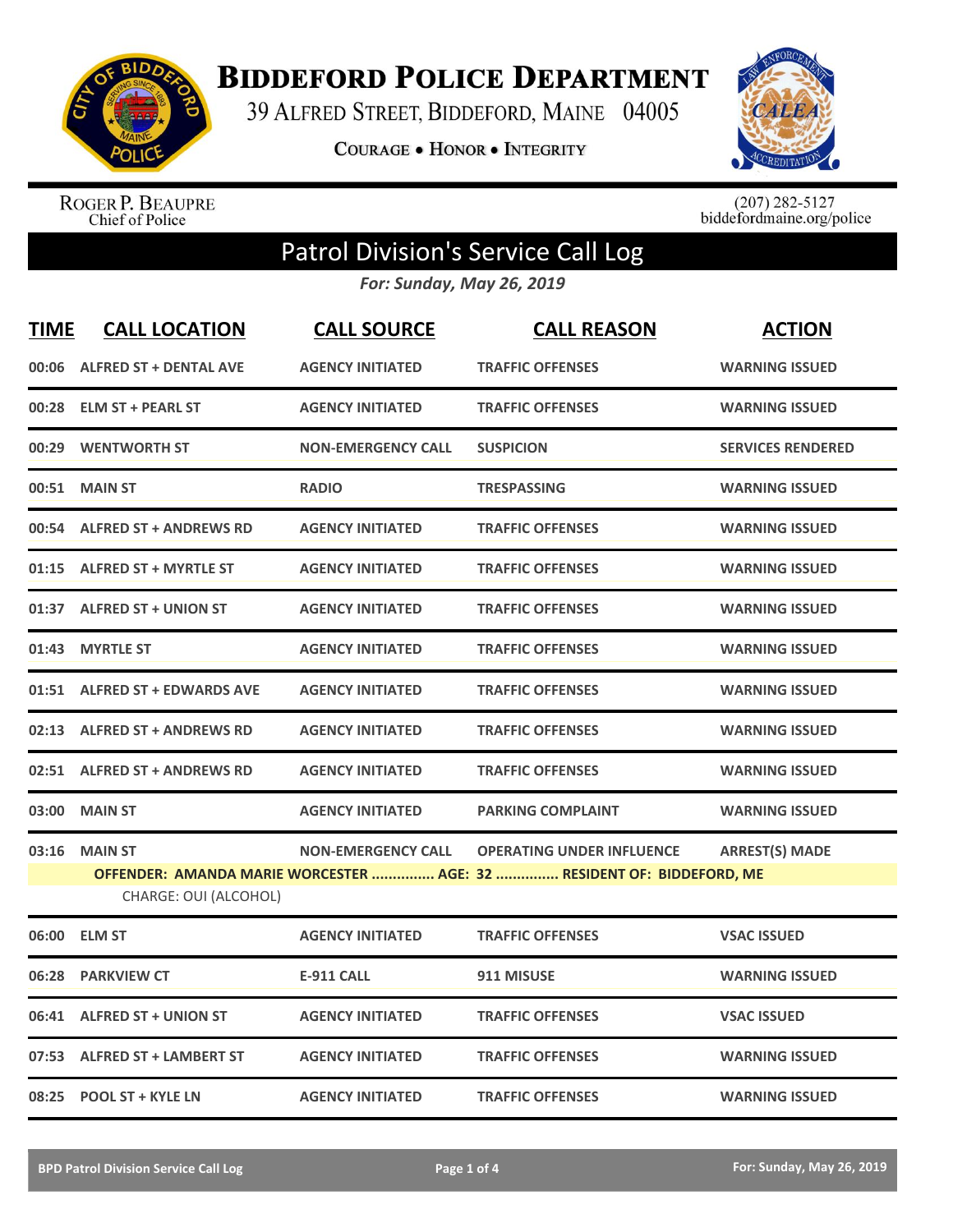

**BIDDEFORD POLICE DEPARTMENT** 

39 ALFRED STREET, BIDDEFORD, MAINE 04005

**COURAGE . HONOR . INTEGRITY** 



ROGER P. BEAUPRE<br>Chief of Police

 $(207)$  282-5127<br>biddefordmaine.org/police

## Patrol Division's Service Call Log

*For: Sunday, May 26, 2019*

| <b>TIME</b> | <b>CALL LOCATION</b>                    | <b>CALL SOURCE</b>        | <b>CALL REASON</b>                                                                                        | <b>ACTION</b>            |
|-------------|-----------------------------------------|---------------------------|-----------------------------------------------------------------------------------------------------------|--------------------------|
| 00:06       | <b>ALFRED ST + DENTAL AVE</b>           | <b>AGENCY INITIATED</b>   | <b>TRAFFIC OFFENSES</b>                                                                                   | <b>WARNING ISSUED</b>    |
| 00:28       | <b>ELM ST + PEARL ST</b>                | <b>AGENCY INITIATED</b>   | <b>TRAFFIC OFFENSES</b>                                                                                   | <b>WARNING ISSUED</b>    |
| 00:29       | <b>WENTWORTH ST</b>                     | <b>NON-EMERGENCY CALL</b> | <b>SUSPICION</b>                                                                                          | <b>SERVICES RENDERED</b> |
| 00:51       | <b>MAIN ST</b>                          | <b>RADIO</b>              | <b>TRESPASSING</b>                                                                                        | <b>WARNING ISSUED</b>    |
| 00:54       | <b>ALFRED ST + ANDREWS RD</b>           | <b>AGENCY INITIATED</b>   | <b>TRAFFIC OFFENSES</b>                                                                                   | <b>WARNING ISSUED</b>    |
| 01:15       | <b>ALFRED ST + MYRTLE ST</b>            | <b>AGENCY INITIATED</b>   | <b>TRAFFIC OFFENSES</b>                                                                                   | <b>WARNING ISSUED</b>    |
| 01:37       | <b>ALFRED ST + UNION ST</b>             | <b>AGENCY INITIATED</b>   | <b>TRAFFIC OFFENSES</b>                                                                                   | <b>WARNING ISSUED</b>    |
| 01:43       | <b>MYRTLE ST</b>                        | <b>AGENCY INITIATED</b>   | <b>TRAFFIC OFFENSES</b>                                                                                   | <b>WARNING ISSUED</b>    |
| 01:51       | <b>ALFRED ST + EDWARDS AVE</b>          | <b>AGENCY INITIATED</b>   | <b>TRAFFIC OFFENSES</b>                                                                                   | <b>WARNING ISSUED</b>    |
|             | 02:13 ALFRED ST + ANDREWS RD            | <b>AGENCY INITIATED</b>   | <b>TRAFFIC OFFENSES</b>                                                                                   | <b>WARNING ISSUED</b>    |
|             | 02:51 ALFRED ST + ANDREWS RD            | <b>AGENCY INITIATED</b>   | <b>TRAFFIC OFFENSES</b>                                                                                   | <b>WARNING ISSUED</b>    |
| 03:00       | <b>MAIN ST</b>                          | <b>AGENCY INITIATED</b>   | <b>PARKING COMPLAINT</b>                                                                                  | <b>WARNING ISSUED</b>    |
| 03:16       | <b>MAIN ST</b><br>CHARGE: OUI (ALCOHOL) | <b>NON-EMERGENCY CALL</b> | <b>OPERATING UNDER INFLUENCE</b><br>OFFENDER: AMANDA MARIE WORCESTER  AGE: 32  RESIDENT OF: BIDDEFORD, ME | <b>ARREST(S) MADE</b>    |
| 06:00       | <b>ELM ST</b>                           | <b>AGENCY INITIATED</b>   | <b>TRAFFIC OFFENSES</b>                                                                                   | <b>VSAC ISSUED</b>       |
| 06:28       | <b>PARKVIEW CT</b>                      | <b>E-911 CALL</b>         | 911 MISUSE                                                                                                | <b>WARNING ISSUED</b>    |
| 06:41       | <b>ALFRED ST + UNION ST</b>             | <b>AGENCY INITIATED</b>   | <b>TRAFFIC OFFENSES</b>                                                                                   | <b>VSAC ISSUED</b>       |
| 07:53       | <b>ALFRED ST + LAMBERT ST</b>           | <b>AGENCY INITIATED</b>   | <b>TRAFFIC OFFENSES</b>                                                                                   | <b>WARNING ISSUED</b>    |
| 08:25       | <b>POOL ST + KYLE LN</b>                | <b>AGENCY INITIATED</b>   | <b>TRAFFIC OFFENSES</b>                                                                                   | <b>WARNING ISSUED</b>    |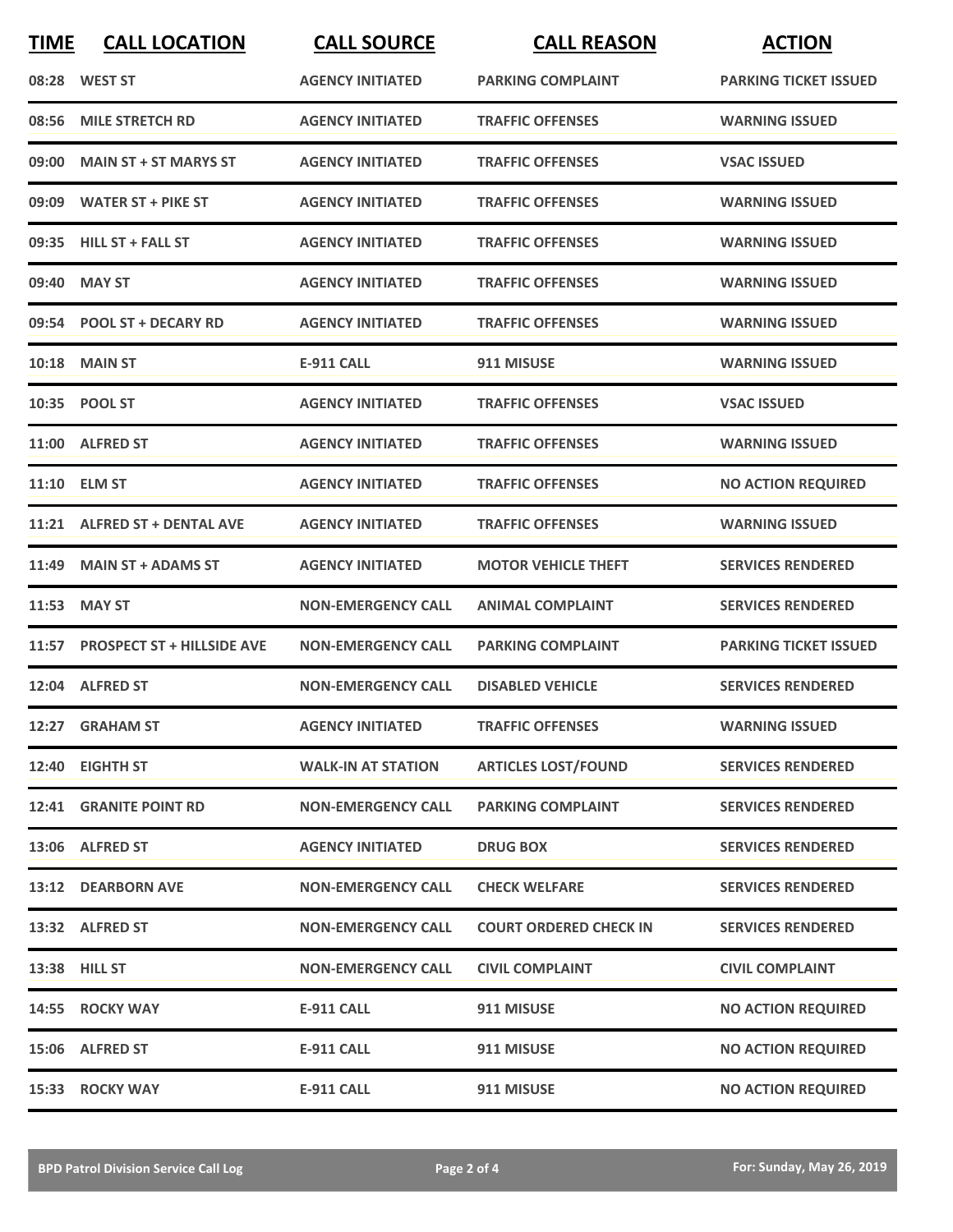| <b>TIME</b> | <b>CALL LOCATION</b>             | <b>CALL SOURCE</b>        | <b>CALL REASON</b>            | <b>ACTION</b>                |
|-------------|----------------------------------|---------------------------|-------------------------------|------------------------------|
|             | 08:28 WEST ST                    | <b>AGENCY INITIATED</b>   | <b>PARKING COMPLAINT</b>      | <b>PARKING TICKET ISSUED</b> |
| 08:56       | <b>MILE STRETCH RD</b>           | <b>AGENCY INITIATED</b>   | <b>TRAFFIC OFFENSES</b>       | <b>WARNING ISSUED</b>        |
| 09:00       | <b>MAIN ST + ST MARYS ST</b>     | <b>AGENCY INITIATED</b>   | <b>TRAFFIC OFFENSES</b>       | <b>VSAC ISSUED</b>           |
|             | 09:09 WATER ST + PIKE ST         | <b>AGENCY INITIATED</b>   | <b>TRAFFIC OFFENSES</b>       | <b>WARNING ISSUED</b>        |
|             | 09:35 HILL ST + FALL ST          | <b>AGENCY INITIATED</b>   | <b>TRAFFIC OFFENSES</b>       | <b>WARNING ISSUED</b>        |
| 09:40       | <b>MAY ST</b>                    | <b>AGENCY INITIATED</b>   | <b>TRAFFIC OFFENSES</b>       | <b>WARNING ISSUED</b>        |
|             | 09:54 POOL ST + DECARY RD        | <b>AGENCY INITIATED</b>   | <b>TRAFFIC OFFENSES</b>       | <b>WARNING ISSUED</b>        |
| 10:18       | <b>MAIN ST</b>                   | <b>E-911 CALL</b>         | 911 MISUSE                    | <b>WARNING ISSUED</b>        |
|             | 10:35 POOL ST                    | <b>AGENCY INITIATED</b>   | <b>TRAFFIC OFFENSES</b>       | <b>VSAC ISSUED</b>           |
|             | 11:00 ALFRED ST                  | <b>AGENCY INITIATED</b>   | <b>TRAFFIC OFFENSES</b>       | <b>WARNING ISSUED</b>        |
|             | 11:10 ELM ST                     | <b>AGENCY INITIATED</b>   | <b>TRAFFIC OFFENSES</b>       | <b>NO ACTION REQUIRED</b>    |
|             | 11:21 ALFRED ST + DENTAL AVE     | <b>AGENCY INITIATED</b>   | <b>TRAFFIC OFFENSES</b>       | <b>WARNING ISSUED</b>        |
| 11:49       | <b>MAIN ST + ADAMS ST</b>        | <b>AGENCY INITIATED</b>   | <b>MOTOR VEHICLE THEFT</b>    | <b>SERVICES RENDERED</b>     |
| 11:53       | <b>MAY ST</b>                    | <b>NON-EMERGENCY CALL</b> | <b>ANIMAL COMPLAINT</b>       | <b>SERVICES RENDERED</b>     |
|             | 11:57 PROSPECT ST + HILLSIDE AVE | <b>NON-EMERGENCY CALL</b> | <b>PARKING COMPLAINT</b>      | <b>PARKING TICKET ISSUED</b> |
|             | 12:04 ALFRED ST                  | <b>NON-EMERGENCY CALL</b> | <b>DISABLED VEHICLE</b>       | <b>SERVICES RENDERED</b>     |
|             | 12:27 GRAHAM ST                  | <b>AGENCY INITIATED</b>   | <b>TRAFFIC OFFENSES</b>       | <b>WARNING ISSUED</b>        |
|             | 12:40 EIGHTH ST                  | <b>WALK-IN AT STATION</b> | <b>ARTICLES LOST/FOUND</b>    | <b>SERVICES RENDERED</b>     |
|             | <b>12:41 GRANITE POINT RD</b>    | <b>NON-EMERGENCY CALL</b> | <b>PARKING COMPLAINT</b>      | <b>SERVICES RENDERED</b>     |
|             | 13:06 ALFRED ST                  | <b>AGENCY INITIATED</b>   | <b>DRUG BOX</b>               | <b>SERVICES RENDERED</b>     |
|             | 13:12 DEARBORN AVE               | <b>NON-EMERGENCY CALL</b> | <b>CHECK WELFARE</b>          | <b>SERVICES RENDERED</b>     |
|             | 13:32 ALFRED ST                  | <b>NON-EMERGENCY CALL</b> | <b>COURT ORDERED CHECK IN</b> | <b>SERVICES RENDERED</b>     |
|             | 13:38 HILL ST                    | <b>NON-EMERGENCY CALL</b> | <b>CIVIL COMPLAINT</b>        | <b>CIVIL COMPLAINT</b>       |
|             | 14:55 ROCKY WAY                  | <b>E-911 CALL</b>         | 911 MISUSE                    | <b>NO ACTION REQUIRED</b>    |
|             | 15:06 ALFRED ST                  | <b>E-911 CALL</b>         | 911 MISUSE                    | <b>NO ACTION REQUIRED</b>    |
|             | 15:33 ROCKY WAY                  | E-911 CALL                | 911 MISUSE                    | <b>NO ACTION REQUIRED</b>    |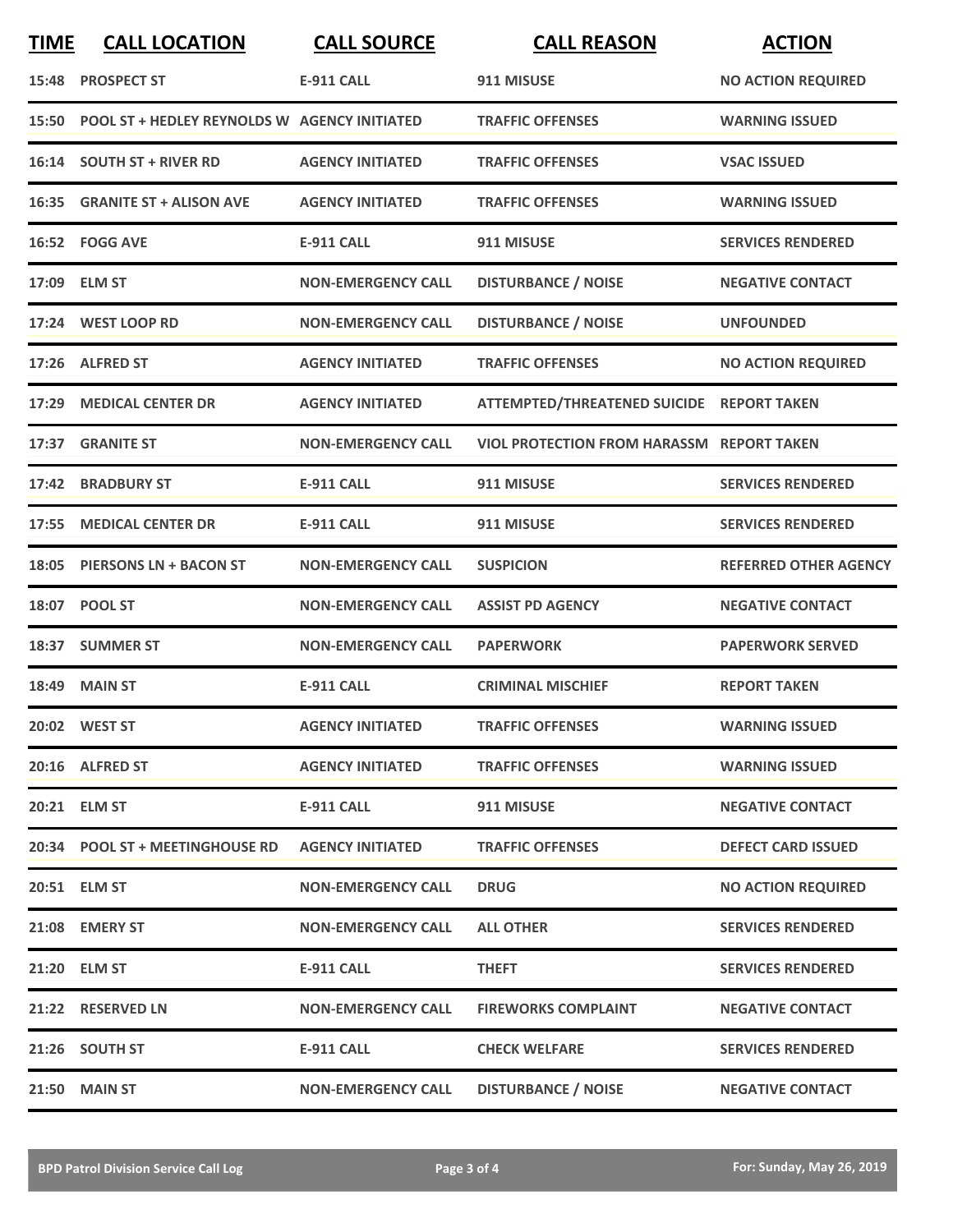| <b>TIME</b> | <b>CALL LOCATION</b>                               | <b>CALL SOURCE</b>        | <b>CALL REASON</b>                               | <b>ACTION</b>                |
|-------------|----------------------------------------------------|---------------------------|--------------------------------------------------|------------------------------|
|             | 15:48 PROSPECT ST                                  | <b>E-911 CALL</b>         | 911 MISUSE                                       | <b>NO ACTION REQUIRED</b>    |
|             | 15:50 POOL ST + HEDLEY REYNOLDS W AGENCY INITIATED |                           | <b>TRAFFIC OFFENSES</b>                          | <b>WARNING ISSUED</b>        |
|             | 16:14 SOUTH ST + RIVER RD                          | <b>AGENCY INITIATED</b>   | <b>TRAFFIC OFFENSES</b>                          | <b>VSAC ISSUED</b>           |
|             | 16:35 GRANITE ST + ALISON AVE                      | <b>AGENCY INITIATED</b>   | <b>TRAFFIC OFFENSES</b>                          | <b>WARNING ISSUED</b>        |
|             | 16:52 FOGG AVE                                     | <b>E-911 CALL</b>         | 911 MISUSE                                       | <b>SERVICES RENDERED</b>     |
|             | 17:09 ELM ST                                       | <b>NON-EMERGENCY CALL</b> | <b>DISTURBANCE / NOISE</b>                       | <b>NEGATIVE CONTACT</b>      |
|             | 17:24 WEST LOOP RD                                 | <b>NON-EMERGENCY CALL</b> | <b>DISTURBANCE / NOISE</b>                       | <b>UNFOUNDED</b>             |
|             | 17:26 ALFRED ST                                    | <b>AGENCY INITIATED</b>   | <b>TRAFFIC OFFENSES</b>                          | <b>NO ACTION REQUIRED</b>    |
|             | 17:29 MEDICAL CENTER DR                            | <b>AGENCY INITIATED</b>   | ATTEMPTED/THREATENED SUICIDE REPORT TAKEN        |                              |
|             | 17:37 GRANITE ST                                   | <b>NON-EMERGENCY CALL</b> | <b>VIOL PROTECTION FROM HARASSM REPORT TAKEN</b> |                              |
|             | 17:42 BRADBURY ST                                  | <b>E-911 CALL</b>         | 911 MISUSE                                       | <b>SERVICES RENDERED</b>     |
| 17:55       | <b>MEDICAL CENTER DR</b>                           | E-911 CALL                | 911 MISUSE                                       | <b>SERVICES RENDERED</b>     |
| 18:05       | <b>PIERSONS LN + BACON ST</b>                      | <b>NON-EMERGENCY CALL</b> | <b>SUSPICION</b>                                 | <b>REFERRED OTHER AGENCY</b> |
| 18:07       | <b>POOL ST</b>                                     | <b>NON-EMERGENCY CALL</b> | <b>ASSIST PD AGENCY</b>                          | <b>NEGATIVE CONTACT</b>      |
|             | 18:37 SUMMER ST                                    | <b>NON-EMERGENCY CALL</b> | <b>PAPERWORK</b>                                 | <b>PAPERWORK SERVED</b>      |
|             | <b>18:49 MAIN ST</b>                               | E-911 CALL                | <b>CRIMINAL MISCHIEF</b>                         | <b>REPORT TAKEN</b>          |
|             | 20:02 WEST ST                                      | <b>AGENCY INITIATED</b>   | <b>TRAFFIC OFFENSES</b>                          | <b>WARNING ISSUED</b>        |
|             | 20:16 ALFRED ST                                    | <b>AGENCY INITIATED</b>   | <b>TRAFFIC OFFENSES</b>                          | <b>WARNING ISSUED</b>        |
|             | 20:21 ELM ST                                       | <b>E-911 CALL</b>         | 911 MISUSE                                       | <b>NEGATIVE CONTACT</b>      |
|             | 20:34 POOL ST + MEETINGHOUSE RD AGENCY INITIATED   |                           | <b>TRAFFIC OFFENSES</b>                          | <b>DEFECT CARD ISSUED</b>    |
|             | 20:51 ELM ST                                       | <b>NON-EMERGENCY CALL</b> | <b>DRUG</b>                                      | <b>NO ACTION REQUIRED</b>    |
|             | 21:08 EMERY ST                                     | <b>NON-EMERGENCY CALL</b> | <b>ALL OTHER</b>                                 | <b>SERVICES RENDERED</b>     |
|             | 21:20 ELM ST                                       | <b>E-911 CALL</b>         | <b>THEFT</b>                                     | <b>SERVICES RENDERED</b>     |
|             | 21:22 RESERVED LN                                  | <b>NON-EMERGENCY CALL</b> | <b>FIREWORKS COMPLAINT</b>                       | <b>NEGATIVE CONTACT</b>      |
|             | 21:26 SOUTH ST                                     | E-911 CALL                | <b>CHECK WELFARE</b>                             | <b>SERVICES RENDERED</b>     |
|             | <b>21:50 MAIN ST</b>                               | <b>NON-EMERGENCY CALL</b> | <b>DISTURBANCE / NOISE</b>                       | <b>NEGATIVE CONTACT</b>      |